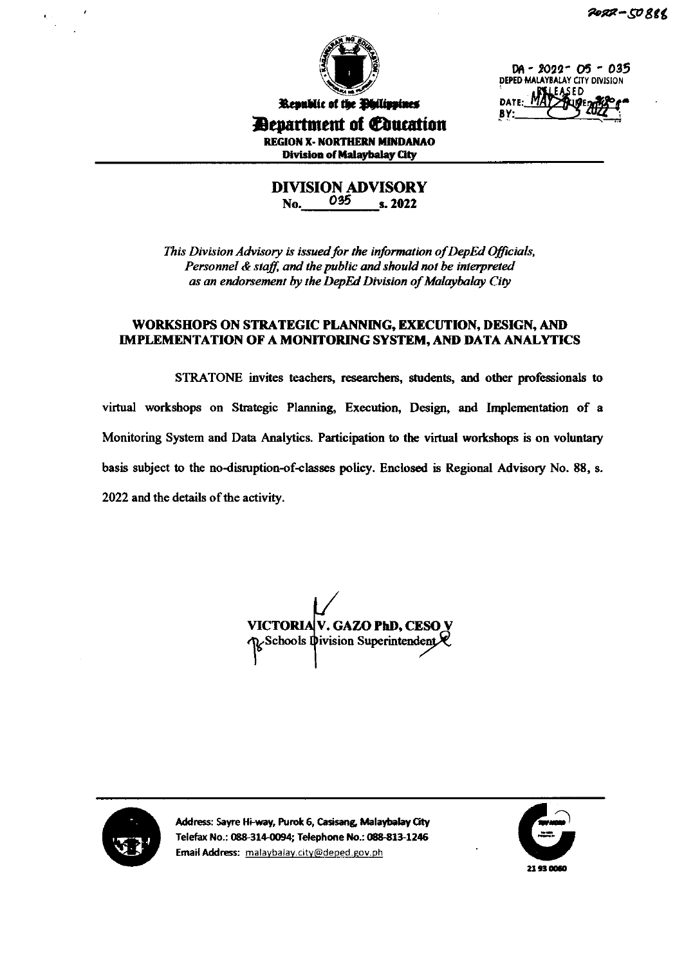

DA - 2022- O5 - 035 DEPED MALAYBALAY CITY DIVISION EASED DATE: N BY:

Republic of the **Ohilippines Devartment of Education REGION X- NORTHERN MINDANAO Division of Malaybalay City** 

> **DIVISION ADVISORY** 035 No. s. 2022

This Division Advisory is issued for the information of DepEd Officials, Personnel & staff, and the public and should not be interpreted as an endorsement by the DepEd Division of Malaybalay City

### WORKSHOPS ON STRATEGIC PLANNING, EXECUTION, DESIGN, AND **IMPLEMENTATION OF A MONITORING SYSTEM, AND DATA ANALYTICS**

STRATONE invites teachers, researchers, students, and other professionals to virtual workshops on Strategic Planning, Execution, Design, and Implementation of a Monitoring System and Data Analytics. Participation to the virtual workshops is on voluntary basis subject to the no-disruption-of-classes policy. Enclosed is Regional Advisory No. 88, s. 2022 and the details of the activity.

VICTORIA V. GAZO PhD, CESO V  $\kappa$ Schools Ipivision Superintendent $\mathcal R$ 



Address: Sayre Hi-way, Purok 6, Casisang, Malaybalay City Telefax No.: 088-314-0094; Telephone No.: 088-813-1246 Email Address: malaybalay.city@deped.gov.ph

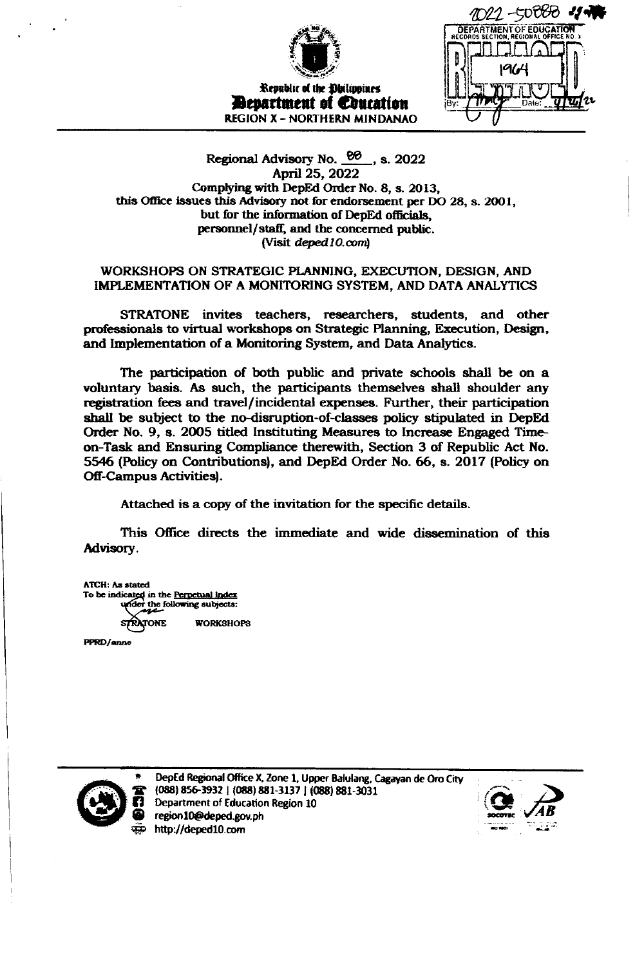

Republic of the Obilippines *Exactment of Couration* **REGION X - NORTHERN MINDANAO** 

**DEPARTMENT**<br>RECORDS SECTION, F

## Regional Advisory No.  $\frac{66}{10}$ , s. 2022 April 25, 2022 Complying with DepEd Order No. 8, s. 2013, this Office issues this Advisory not for endorsement per DO 28, s. 2001, but for the information of DepEd officials, personnel/staff, and the concerned public. (Visit deped 10.com)

## WORKSHOPS ON STRATEGIC PLANNING, EXECUTION, DESIGN, AND IMPLEMENTATION OF A MONITORING SYSTEM, AND DATA ANALYTICS

STRATONE invites teachers, researchers, students, and other professionals to virtual workshops on Strategic Planning, Execution, Design, and Implementation of a Monitoring System, and Data Analytics.

The participation of both public and private schools shall be on a voluntary basis. As such, the participants themselves shall shoulder any registration fees and travel/incidental expenses. Further, their participation shall be subject to the no-disruption-of-classes policy stipulated in DepEd Order No. 9, s. 2005 titled Instituting Measures to Increase Engaged Timeon-Task and Ensuring Compliance therewith, Section 3 of Republic Act No. 5546 (Policy on Contributions), and DepEd Order No. 66, s. 2017 (Policy on **Off-Campus Activities**).

Attached is a copy of the invitation for the specific details.

This Office directs the immediate and wide dissemination of this Advisory.

**ATCH:** As stated To be indicated in the Perpetual Index under the following subjects: **WORKSHOPS** TONE

PPRD/anne



DepEd Regional Office X, Zone 1, Upper Balulang, Cagayan de Oro City (088) 856-3932 | (088) 881-3137 | (088) 881-3031 Department of Education Region 10 region10@deped.gov.ph http://deped10.com

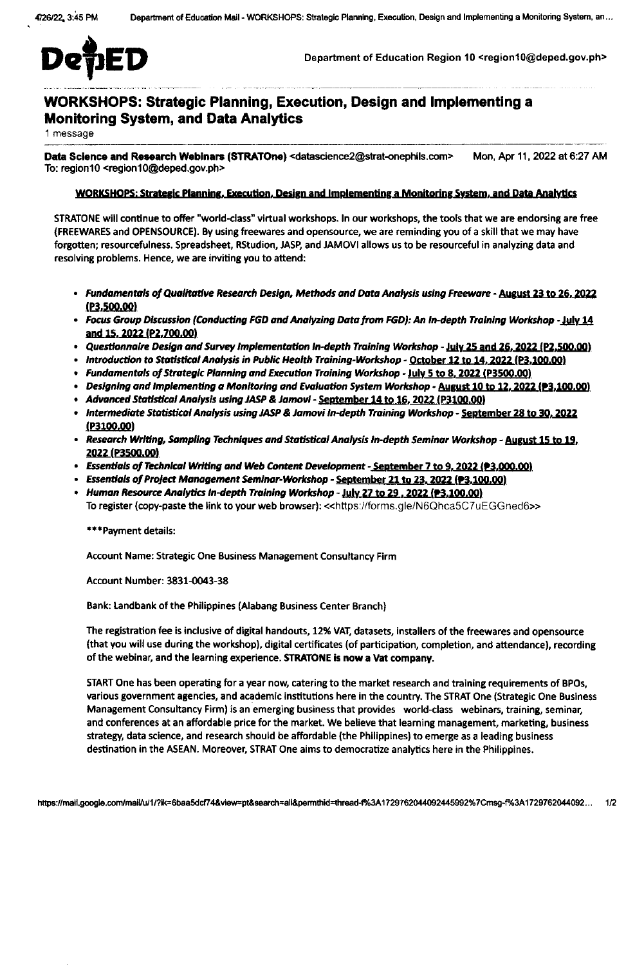

Department of Education Region 10 <region10@deped.gov.ph>

# **WORKSHOPS: Strategic Planning, Execution, Design and Implementing a Monitoring System, and Data Analytics**

1 message

Data Science and Research Webinars (STRATOne) <datascience2@strat-onephils.com> Mon, Apr 11, 2022 at 6:27 AM To: region10 <region10@deped.gov.ph>

### WORKSHOPS: Strategic Planning, Execution, Design and Implementing a Monitoring System, and Data Analytics

STRATONE will continue to offer "world-class" virtual workshops. In our workshops, the tools that we are endorsing are free (FREEWARES and OPENSOURCE). By using freewares and opensource, we are reminding you of a skill that we may have forgotten; resourcefulness. Spreadsheet, RStudion, JASP, and JAMOVI allows us to be resourceful in analyzing data and resolving problems. Hence, we are inviting you to attend:

- Fundamentals of Qualitative Research Design, Methods and Data Analysis using Freeware August 23 to 26, 2022  $(P3,500.00)$
- Focus Group Discussion (Conducting FGD and Analyzing Data from FGD): An In-depth Training Workshop July 14 and 15, 2022 (P2, 700.00)
- Questionnaire Design and Survey Implementation In-depth Training Workshop July 25 and 26, 2022 (P2,500.00)
- Introduction to Statistical Analysis in Public Health Training-Workshop <u>October 12 to 14, 2022 (P3,100.00)</u>
- Fundamentals of Strategic Planning and Execution Training Workshop July 5 to 8, 2022 (P3500.00)
- Designing and implementing a Monitoring and Evaluation System Workshop August 10 to 12, 2022 (23,100.00)
- Advanced Statistical Analysis using JASP & Jamovi September 14 to 16, 2022 (P3100.00)
- Intermediate Statistical Analysis using JASP & Jamovi In-depth Training Workshop September 28 to 30, 2022  $(P3100.00)$
- Research Writing, Sampling Techniques and Statistical Analysis In-depth Seminar Workshop August 15 to 19, 2022 (P3500.00)
- Essentials of Technical Writing and Web Content Development September 7 to 9, 2022 (?3,000.00)
- Essentials of Project Management Seminar-Workshop <u>September 21 to 23, 2022 (93,100.00)</u>
- Human Resource Analytics In-depth Training Workshop July 27 to 29, 2022 (P3,100.00) To register (copy-paste the link to your web browser): << https://forms.gle/N6Qhca5C7uEGGned6>>

\*\*\*Payment details:

Account Name: Strategic One Business Management Consultancy Firm

Account Number: 3831-0043-38

Bank: Landbank of the Philippines (Alabang Business Center Branch)

The registration fee is inclusive of digital handouts, 12% VAT, datasets, installers of the freewares and opensource (that you will use during the workshop), digital certificates (of participation, completion, and attendance), recording of the webinar, and the learning experience. STRATONE is now a Vat company.

START One has been operating for a year now, catering to the market research and training requirements of BPOs, various government agencies, and academic institutions here in the country. The STRAT One (Strategic One Business Management Consultancy Firm) is an emerging business that provides world-class webinars, training, seminar, and conferences at an affordable price for the market. We believe that learning management, marketing, business strategy, data science, and research should be affordable (the Philippines) to emerge as a leading business destination in the ASEAN. Moreover, STRAT One aims to democratize analytics here in the Philippines.

https://mail.google.com/mail/u/1/?ik=6baa5dcf74&view=pt&search=all&permthid=thread-f%3A1729762044092445992%7Cmsg-f%3A1729762044092...  $1/2$